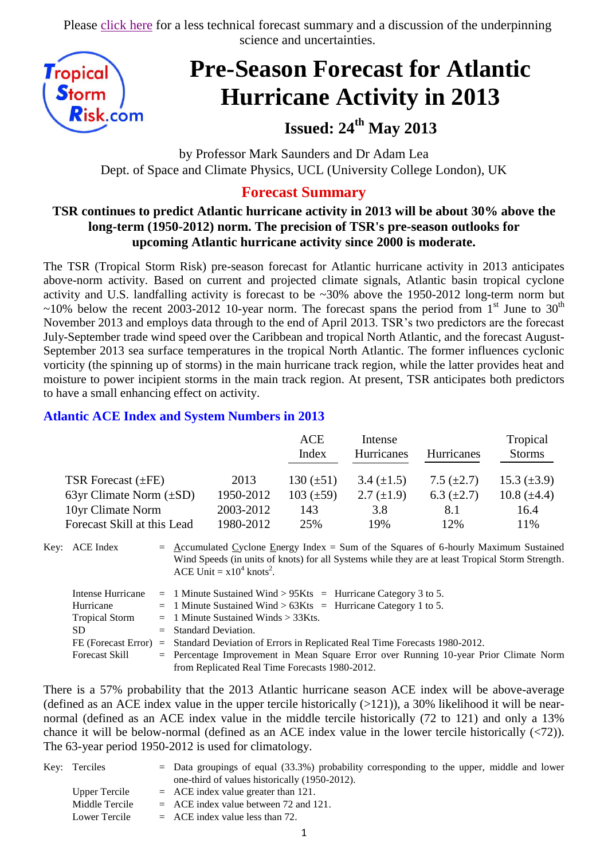Please [click here](http://www.tropicalstormrisk.com/docs/TSRATLPreSeasonSummary24May2013.pdf) for a less technical forecast summary and a discussion of the underpinning science and uncertainties.



# **Pre-Season Forecast for Atlantic Hurricane Activity in 2013**

# **Issued: 24th May 2013**

by Professor Mark Saunders and Dr Adam Lea Dept. of Space and Climate Physics, UCL (University College London), UK

### **Forecast Summary**

#### **TSR continues to predict Atlantic hurricane activity in 2013 will be about 30% above the long-term (1950-2012) norm. The precision of TSR's pre-season outlooks for upcoming Atlantic hurricane activity since 2000 is moderate.**

The TSR (Tropical Storm Risk) pre-season forecast for Atlantic hurricane activity in 2013 anticipates above-norm activity. Based on current and projected climate signals, Atlantic basin tropical cyclone activity and U.S. landfalling activity is forecast to be ~30% above the 1950-2012 long-term norm but  $\sim$ 10% below the recent 2003-2012 10-year norm. The forecast spans the period from 1<sup>st</sup> June to 30<sup>th</sup> November 2013 and employs data through to the end of April 2013. TSR's two predictors are the forecast July-September trade wind speed over the Caribbean and tropical North Atlantic, and the forecast August-September 2013 sea surface temperatures in the tropical North Atlantic. The former influences cyclonic vorticity (the spinning up of storms) in the main hurricane track region, while the latter provides heat and moisture to power incipient storms in the main track region. At present, TSR anticipates both predictors to have a small enhancing effect on activity.

#### **Atlantic ACE Index and System Numbers in 2013**

|                              |           | ACE<br>Index   | Intense<br>Hurricanes | <b>Hurricanes</b> | Tropical<br><b>Storms</b> |
|------------------------------|-----------|----------------|-----------------------|-------------------|---------------------------|
| TSR Forecast $(\pm FE)$      | 2013      | 130 $(\pm 51)$ | 3.4 $(\pm 1.5)$       | 7.5 $(\pm 2.7)$   | 15.3 $(\pm 3.9)$          |
| 63yr Climate Norm $(\pm SD)$ | 1950-2012 | $103 (\pm 59)$ | 2.7 $(\pm 1.9)$       | 6.3 $(\pm 2.7)$   | 10.8 $(\pm 4.4)$          |
| 10yr Climate Norm            | 2003-2012 | 143            | 3.8                   | 8.1               | 16.4                      |
| Forecast Skill at this Lead  | 1980-2012 | 25%            | 19%                   | 12%               | 11%                       |

Key: ACE Index =  $\Delta$ ccumulated Cyclone Energy Index = Sum of the Squares of 6-hourly Maximum Sustained Wind Speeds (in units of knots) for all Systems while they are at least Tropical Storm Strength. ACE Unit =  $x10^4$  knots<sup>2</sup>.

| Intense Hurricane     | $=$ 1 Minute Sustained Wind > 95Kts $=$ Hurricane Category 3 to 5.                              |
|-----------------------|-------------------------------------------------------------------------------------------------|
| Hurricane             | $=$ 1 Minute Sustained Wind > 63Kts = Hurricane Category 1 to 5.                                |
| <b>Tropical Storm</b> | $=$ 1 Minute Sustained Winds $>$ 33Kts.                                                         |
| SD.                   | $=$ Standard Deviation.                                                                         |
|                       | FE (Forecast Error) = Standard Deviation of Errors in Replicated Real Time Forecasts 1980-2012. |
| Forecast Skill        | = Percentage Improvement in Mean Square Error over Running 10-year Prior Climate Norm           |
|                       | from Replicated Real Time Forecasts 1980-2012.                                                  |

There is a 57% probability that the 2013 Atlantic hurricane season ACE index will be above-average (defined as an ACE index value in the upper tercile historically  $(>121)$ ), a 30% likelihood it will be nearnormal (defined as an ACE index value in the middle tercile historically (72 to 121) and only a 13% chance it will be below-normal (defined as an ACE index value in the lower tercile historically (<72)). The 63-year period 1950-2012 is used for climatology.

| Key: Terciles  | $=$ Data groupings of equal (33.3%) probability corresponding to the upper, middle and lower |
|----------------|----------------------------------------------------------------------------------------------|
|                | one-third of values historically (1950-2012).                                                |
| Upper Tercile  | $=$ ACE index value greater than 121.                                                        |
| Middle Tercile | $=$ ACE index value between 72 and 121.                                                      |
| Lower Tercile  | $=$ ACE index value less than 72.                                                            |
|                |                                                                                              |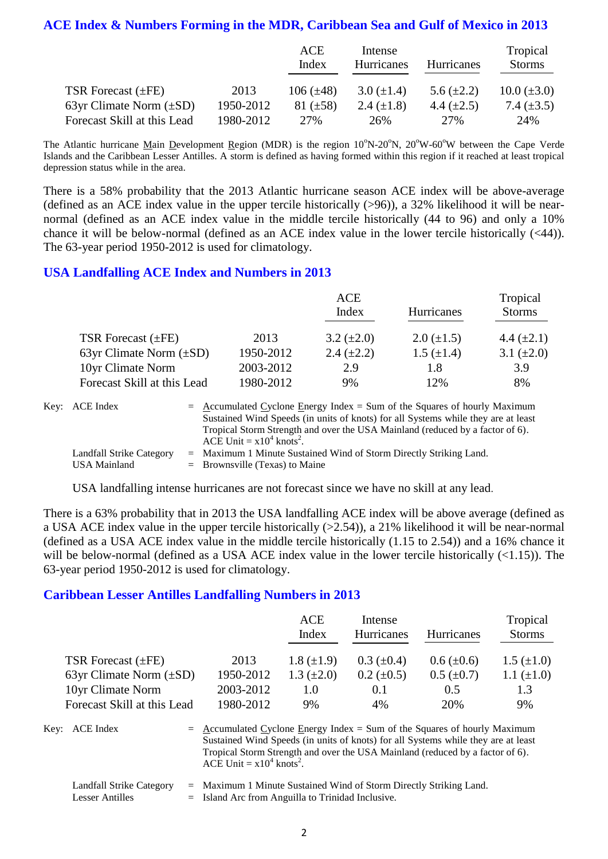#### **ACE Index & Numbers Forming in the MDR, Caribbean Sea and Gulf of Mexico in 2013**

|                              |           | ACE<br>Index   | Intense<br>Hurricanes | <b>Hurricanes</b> | Tropical<br><b>Storms</b> |
|------------------------------|-----------|----------------|-----------------------|-------------------|---------------------------|
| TSR Forecast $(\pm FE)$      | 2013      | 106 $(\pm 48)$ | 3.0 $(\pm 1.4)$       | 5.6 $(\pm 2.2)$   | $10.0 (\pm 3.0)$          |
| 63yr Climate Norm $(\pm SD)$ | 1950-2012 | 81 $(\pm 58)$  | 2.4 $(\pm 1.8)$       | 4.4 $(\pm 2.5)$   | 7.4 $(\pm 3.5)$           |
| Forecast Skill at this Lead  | 1980-2012 | 27%            | 26%                   | 27%               | 24%                       |

The Atlantic hurricane Main Development Region (MDR) is the region 10°N-20°N, 20°W-60°W between the Cape Verde Islands and the Caribbean Lesser Antilles. A storm is defined as having formed within this region if it reached at least tropical depression status while in the area.

There is a 58% probability that the 2013 Atlantic hurricane season ACE index will be above-average (defined as an ACE index value in the upper tercile historically (>96)), a 32% likelihood it will be nearnormal (defined as an ACE index value in the middle tercile historically (44 to 96) and only a 10% chance it will be below-normal (defined as an ACE index value in the lower tercile historically (<44)). The 63-year period 1950-2012 is used for climatology.

#### **USA Landfalling ACE Index and Numbers in 2013**

|                              |           | ACE               |                   | Tropical        |
|------------------------------|-----------|-------------------|-------------------|-----------------|
|                              |           | Index             | <b>Hurricanes</b> | <b>Storms</b>   |
| TSR Forecast $(\pm FE)$      | 2013      | $3.2 \ (\pm 2.0)$ | $2.0 \ (\pm 1.5)$ | 4.4 $(\pm 2.1)$ |
| 63yr Climate Norm $(\pm SD)$ | 1950-2012 | 2.4 $(\pm 2.2)$   | $1.5 \ (\pm 1.4)$ | 3.1 $(\pm 2.0)$ |
| 10yr Climate Norm            | 2003-2012 | 2.9               | 1.8               | 3.9             |
| Forecast Skill at this Lead  | 1980-2012 | 9%                | 12%               | 8%              |

| Key: ACE Index                           | $=$ Accumulated Cyclone Energy Index = Sum of the Squares of hourly Maximum<br>Sustained Wind Speeds (in units of knots) for all Systems while they are at least<br>Tropical Storm Strength and over the USA Mainland (reduced by a factor of 6).<br>ACE Unit = $x10^4$ knots <sup>2</sup> . |
|------------------------------------------|----------------------------------------------------------------------------------------------------------------------------------------------------------------------------------------------------------------------------------------------------------------------------------------------|
| Landfall Strike Category<br>USA Mainland | $=$ Maximum 1 Minute Sustained Wind of Storm Directly Striking Land.<br>$=$ Brownsville (Texas) to Maine                                                                                                                                                                                     |

USA landfalling intense hurricanes are not forecast since we have no skill at any lead.

There is a 63% probability that in 2013 the USA landfalling ACE index will be above average (defined as a USA ACE index value in the upper tercile historically (>2.54)), a 21% likelihood it will be near-normal (defined as a USA ACE index value in the middle tercile historically (1.15 to 2.54)) and a 16% chance it will be below-normal (defined as a USA ACE index value in the lower tercile historically  $(\langle 1.15 \rangle)$ ). The 63-year period 1950-2012 is used for climatology.

#### **Caribbean Lesser Antilles Landfalling Numbers in 2013**

|                              |           | ACE<br>Index    | Intense<br>Hurricanes | <b>Hurricanes</b> | Tropical<br><b>Storms</b> |
|------------------------------|-----------|-----------------|-----------------------|-------------------|---------------------------|
| TSR Forecast $(\pm FE)$      | 2013      | $1.8 (\pm 1.9)$ | $0.3~(\pm 0.4)$       | $0.6 (\pm 0.6)$   | $1.5 \ (\pm 1.0)$         |
| 63yr Climate Norm $(\pm SD)$ | 1950-2012 | 1.3 $(\pm 2.0)$ | $0.2 \ (\pm 0.5)$     | $0.5 \ (\pm 0.7)$ | 1.1 $(\pm 1.0)$           |
| 10yr Climate Norm            | 2003-2012 | 1.0             | 0.1                   | 0.5               | 1.3                       |
| Forecast Skill at this Lead  | 1980-2012 | 9%              | 4%                    | 20%               | 9%                        |
|                              |           |                 |                       |                   |                           |

Key: ACE Index  $=$  Accumulated Cyclone Energy Index = Sum of the Squares of hourly Maximum Sustained Wind Speeds (in units of knots) for all Systems while they are at least Tropical Storm Strength and over the USA Mainland (reduced by a factor of 6). ACE Unit =  $x10^4$  knots<sup>2</sup>.

|                 | Landfall Strike Category = Maximum 1 Minute Sustained Wind of Storm Directly Striking Land. |
|-----------------|---------------------------------------------------------------------------------------------|
| Lesser Antilles | $=$ Island Arc from Anguilla to Trinidad Inclusive.                                         |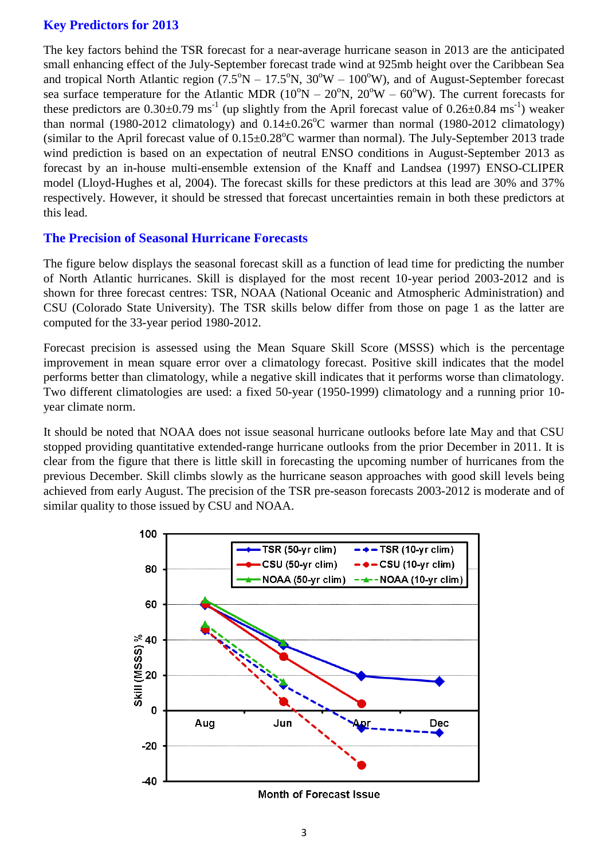#### **Key Predictors for 2013**

The key factors behind the TSR forecast for a near-average hurricane season in 2013 are the anticipated small enhancing effect of the July-September forecast trade wind at 925mb height over the Caribbean Sea and tropical North Atlantic region  $(7.5^{\circ}N - 17.5^{\circ}N, 30^{\circ}W - 100^{\circ}W)$ , and of August-September forecast sea surface temperature for the Atlantic MDR ( $10^{\circ}N - 20^{\circ}N$ ,  $20^{\circ}W - 60^{\circ}W$ ). The current forecasts for these predictors are  $0.30\pm0.79$  ms<sup>-1</sup> (up slightly from the April forecast value of  $0.26\pm0.84$  ms<sup>-1</sup>) weaker than normal (1980-2012 climatology) and  $0.14\pm0.26^{\circ}$ C warmer than normal (1980-2012 climatology) (similar to the April forecast value of  $0.15\pm0.28^{\circ}$ C warmer than normal). The July-September 2013 trade wind prediction is based on an expectation of neutral ENSO conditions in August-September 2013 as forecast by an in-house multi-ensemble extension of the Knaff and Landsea (1997) ENSO-CLIPER model (Lloyd-Hughes et al, 2004). The forecast skills for these predictors at this lead are 30% and 37% respectively. However, it should be stressed that forecast uncertainties remain in both these predictors at this lead.

#### **The Precision of Seasonal Hurricane Forecasts**

The figure below displays the seasonal forecast skill as a function of lead time for predicting the number of North Atlantic hurricanes. Skill is displayed for the most recent 10-year period 2003-2012 and is shown for three forecast centres: TSR, NOAA (National Oceanic and Atmospheric Administration) and CSU (Colorado State University). The TSR skills below differ from those on page 1 as the latter are computed for the 33-year period 1980-2012.

Forecast precision is assessed using the Mean Square Skill Score (MSSS) which is the percentage improvement in mean square error over a climatology forecast. Positive skill indicates that the model performs better than climatology, while a negative skill indicates that it performs worse than climatology. Two different climatologies are used: a fixed 50-year (1950-1999) climatology and a running prior 10 year climate norm.

It should be noted that NOAA does not issue seasonal hurricane outlooks before late May and that CSU stopped providing quantitative extended-range hurricane outlooks from the prior December in 2011. It is clear from the figure that there is little skill in forecasting the upcoming number of hurricanes from the previous December. Skill climbs slowly as the hurricane season approaches with good skill levels being achieved from early August. The precision of the TSR pre-season forecasts 2003-2012 is moderate and of similar quality to those issued by CSU and NOAA.



Month of Forecast Issue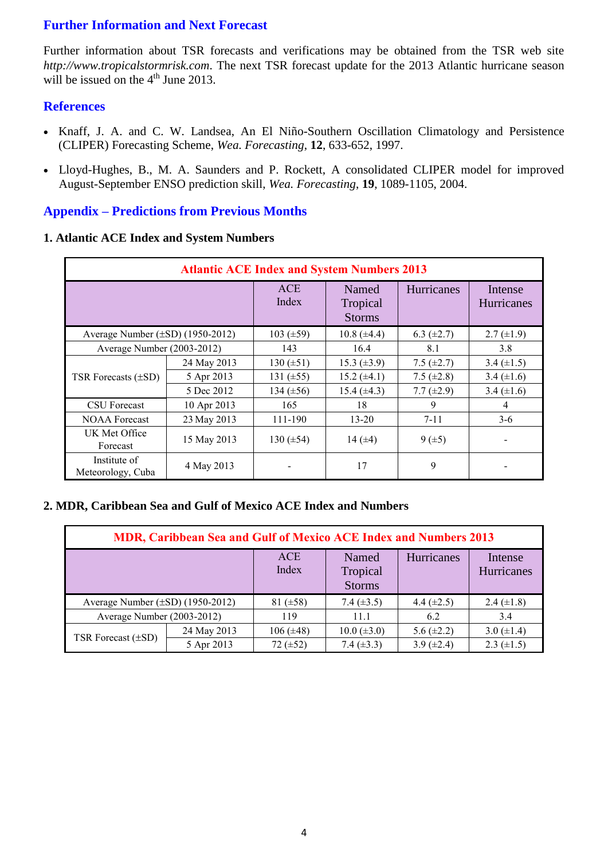#### **Further Information and Next Forecast**

Further information about TSR forecasts and verifications may be obtained from the TSR web site *http://www.tropicalstormrisk.com*. The next TSR forecast update for the 2013 Atlantic hurricane season will be issued on the  $4<sup>th</sup>$  June 2013.

#### **References**

- Knaff, J. A. and C. W. Landsea, An El Niño-Southern Oscillation Climatology and Persistence (CLIPER) Forecasting Scheme, *Wea. Forecasting*, **12**, 633-652, 1997.
- [Lloyd-Hughes, B., M. A. Saunders and P. Rockett, A consolidated CLIPER model for improved](http://www.tropicalstormrisk.com/docs/Lloyd-Hughesetal2004.pdf)  [August-September ENSO prediction skill,](http://www.tropicalstormrisk.com/docs/Lloyd-Hughesetal2004.pdf) *Wea. Forecasting*, **19**, 1089-1105, 2004.

#### **Appendix – Predictions from Previous Months**

#### **1. Atlantic ACE Index and System Numbers**

| <b>Atlantic ACE Index and System Numbers 2013</b> |             |                     |                                    |                 |                       |  |  |
|---------------------------------------------------|-------------|---------------------|------------------------------------|-----------------|-----------------------|--|--|
|                                                   |             | <b>ACE</b><br>Index | Named<br>Tropical<br><b>Storms</b> | Hurricanes      | Intense<br>Hurricanes |  |  |
| Average Number $(\pm SD)$ (1950-2012)             |             | 103 $(\pm 59)$      | $10.8 (\pm 4.4)$                   | 6.3 $(\pm 2.7)$ | $2.7 \ (\pm 1.9)$     |  |  |
| Average Number (2003-2012)                        |             | 143                 | 16.4                               | 8.1             | 3.8                   |  |  |
|                                                   | 24 May 2013 | 130 $(\pm 51)$      | 15.3 $(\pm 3.9)$                   | 7.5 $(\pm 2.7)$ | 3.4 $(\pm 1.5)$       |  |  |
| TSR Forecasts $(\pm SD)$                          | 5 Apr 2013  | 131 $(\pm 55)$      | $15.2 (\pm 4.1)$                   | 7.5 $(\pm 2.8)$ | 3.4 $(\pm 1.6)$       |  |  |
|                                                   | 5 Dec 2012  | 134 $(\pm 56)$      | 15.4 $(\pm 4.3)$                   | 7.7 $(\pm 2.9)$ | 3.4 $(\pm 1.6)$       |  |  |
| <b>CSU</b> Forecast                               | 10 Apr 2013 | 165                 | 18                                 | 9               | 4                     |  |  |
| <b>NOAA Forecast</b>                              | 23 May 2013 | 111-190             | $13 - 20$                          | $7 - 11$        | $3-6$                 |  |  |
| UK Met Office<br>Forecast                         | 15 May 2013 | 130 $(\pm 54)$      | 14 $(\pm 4)$                       | $9(\pm 5)$      |                       |  |  |
| Institute of<br>Meteorology, Cuba                 | 4 May 2013  |                     | 17                                 | 9               |                       |  |  |

#### **2. MDR, Caribbean Sea and Gulf of Mexico ACE Index and Numbers**

| <b>MDR, Caribbean Sea and Gulf of Mexico ACE Index and Numbers 2013</b> |             |                     |                                    |                 |                       |  |  |
|-------------------------------------------------------------------------|-------------|---------------------|------------------------------------|-----------------|-----------------------|--|--|
|                                                                         |             | <b>ACE</b><br>Index | Named<br>Tropical<br><b>Storms</b> | Hurricanes      | Intense<br>Hurricanes |  |  |
| Average Number $(\pm SD)$ (1950-2012)                                   |             | 81 $(\pm 58)$       | 7.4 $(\pm 3.5)$                    | 4.4 $(\pm 2.5)$ | 2.4 $(\pm 1.8)$       |  |  |
| Average Number (2003-2012)                                              |             | 119                 | 11.1                               | 6.2             | 3.4                   |  |  |
| TSR Forecast $(\pm SD)$                                                 | 24 May 2013 | $106 (\pm 48)$      | $10.0 (\pm 3.0)$                   | 5.6 $(\pm 2.2)$ | 3.0 $(\pm 1.4)$       |  |  |
|                                                                         | 5 Apr 2013  | 72 $(\pm 52)$       | 7.4 $(\pm 3.3)$                    | 3.9 $(\pm 2.4)$ | 2.3 $(\pm 1.5)$       |  |  |